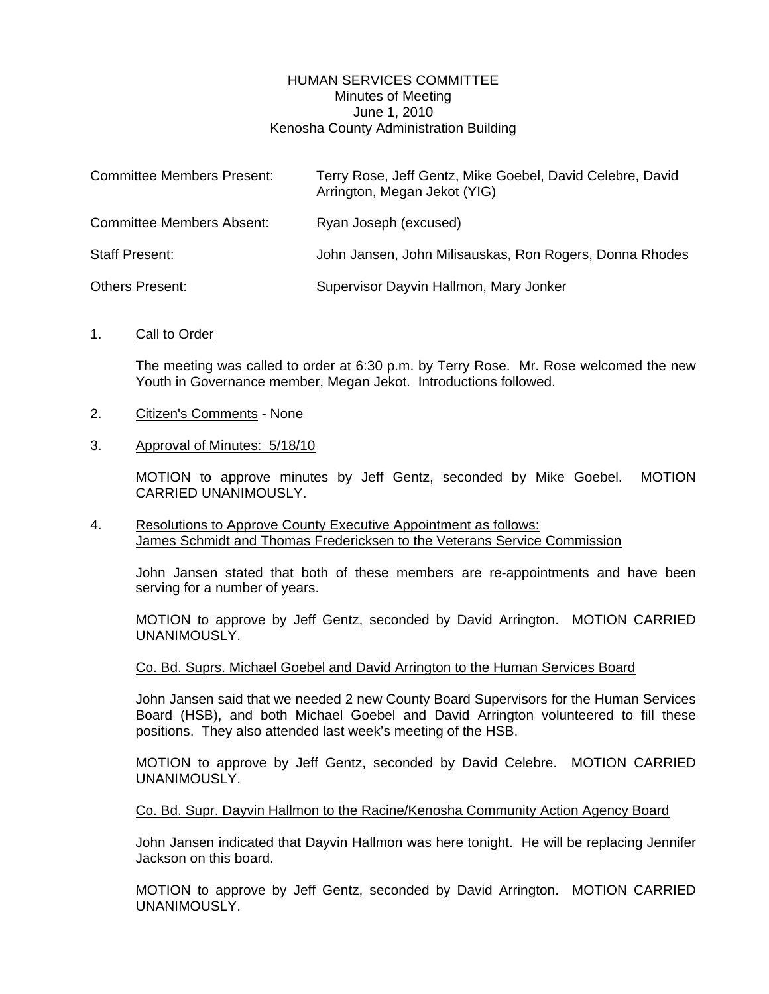## HUMAN SERVICES COMMITTEE Minutes of Meeting June 1, 2010 Kenosha County Administration Building

| <b>Committee Members Present:</b> | Terry Rose, Jeff Gentz, Mike Goebel, David Celebre, David<br>Arrington, Megan Jekot (YIG) |
|-----------------------------------|-------------------------------------------------------------------------------------------|
| <b>Committee Members Absent:</b>  | Ryan Joseph (excused)                                                                     |
| <b>Staff Present:</b>             | John Jansen, John Milisauskas, Ron Rogers, Donna Rhodes                                   |
| Others Present:                   | Supervisor Dayvin Hallmon, Mary Jonker                                                    |

1. Call to Order

 The meeting was called to order at 6:30 p.m. by Terry Rose. Mr. Rose welcomed the new Youth in Governance member, Megan Jekot. Introductions followed.

- 2. Citizen's Comments None
- 3. Approval of Minutes: 5/18/10

 MOTION to approve minutes by Jeff Gentz, seconded by Mike Goebel. MOTION CARRIED UNANIMOUSLY.

4. Resolutions to Approve County Executive Appointment as follows: James Schmidt and Thomas Fredericksen to the Veterans Service Commission

 John Jansen stated that both of these members are re-appointments and have been serving for a number of years.

 MOTION to approve by Jeff Gentz, seconded by David Arrington. MOTION CARRIED UNANIMOUSLY.

#### Co. Bd. Suprs. Michael Goebel and David Arrington to the Human Services Board

 John Jansen said that we needed 2 new County Board Supervisors for the Human Services Board (HSB), and both Michael Goebel and David Arrington volunteered to fill these positions. They also attended last week's meeting of the HSB.

 MOTION to approve by Jeff Gentz, seconded by David Celebre. MOTION CARRIED UNANIMOUSLY.

#### Co. Bd. Supr. Dayvin Hallmon to the Racine/Kenosha Community Action Agency Board

 John Jansen indicated that Dayvin Hallmon was here tonight. He will be replacing Jennifer Jackson on this board.

 MOTION to approve by Jeff Gentz, seconded by David Arrington. MOTION CARRIED UNANIMOUSLY.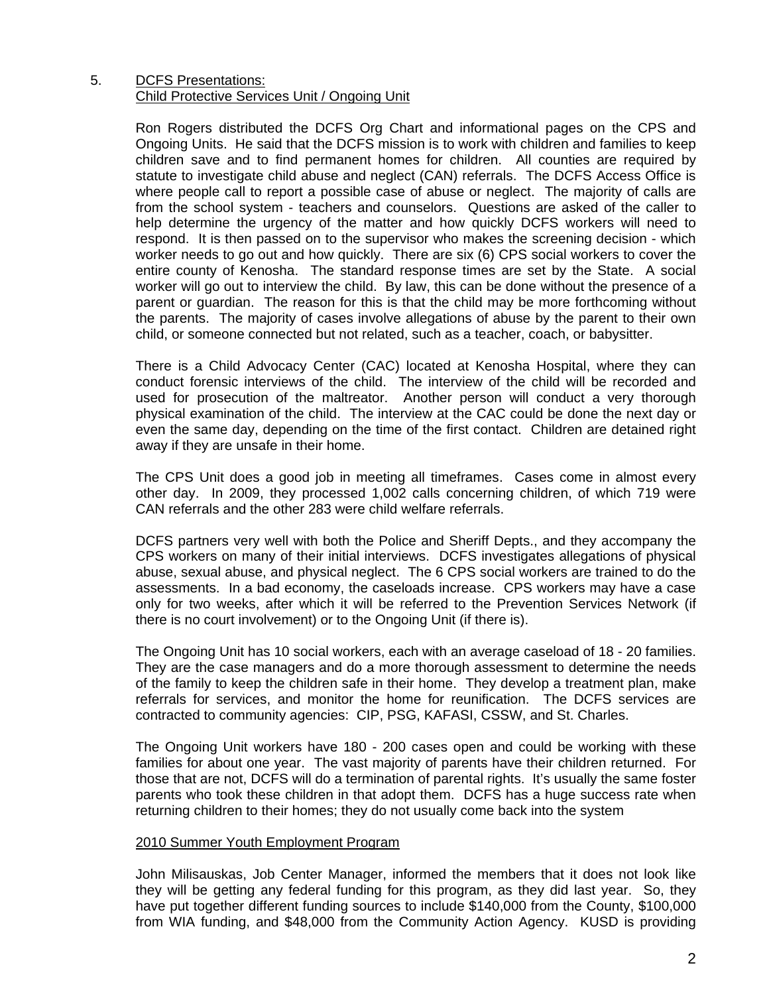## 5. DCFS Presentations: Child Protective Services Unit / Ongoing Unit

 Ron Rogers distributed the DCFS Org Chart and informational pages on the CPS and Ongoing Units. He said that the DCFS mission is to work with children and families to keep children save and to find permanent homes for children. All counties are required by statute to investigate child abuse and neglect (CAN) referrals. The DCFS Access Office is where people call to report a possible case of abuse or neglect. The majority of calls are from the school system - teachers and counselors. Questions are asked of the caller to help determine the urgency of the matter and how quickly DCFS workers will need to respond. It is then passed on to the supervisor who makes the screening decision - which worker needs to go out and how quickly. There are six (6) CPS social workers to cover the entire county of Kenosha. The standard response times are set by the State. A social worker will go out to interview the child. By law, this can be done without the presence of a parent or guardian. The reason for this is that the child may be more forthcoming without the parents. The majority of cases involve allegations of abuse by the parent to their own child, or someone connected but not related, such as a teacher, coach, or babysitter.

 There is a Child Advocacy Center (CAC) located at Kenosha Hospital, where they can conduct forensic interviews of the child. The interview of the child will be recorded and used for prosecution of the maltreator. Another person will conduct a very thorough physical examination of the child. The interview at the CAC could be done the next day or even the same day, depending on the time of the first contact. Children are detained right away if they are unsafe in their home.

 The CPS Unit does a good job in meeting all timeframes. Cases come in almost every other day. In 2009, they processed 1,002 calls concerning children, of which 719 were CAN referrals and the other 283 were child welfare referrals.

 DCFS partners very well with both the Police and Sheriff Depts., and they accompany the CPS workers on many of their initial interviews. DCFS investigates allegations of physical abuse, sexual abuse, and physical neglect. The 6 CPS social workers are trained to do the assessments. In a bad economy, the caseloads increase. CPS workers may have a case only for two weeks, after which it will be referred to the Prevention Services Network (if there is no court involvement) or to the Ongoing Unit (if there is).

 The Ongoing Unit has 10 social workers, each with an average caseload of 18 - 20 families. They are the case managers and do a more thorough assessment to determine the needs of the family to keep the children safe in their home. They develop a treatment plan, make referrals for services, and monitor the home for reunification. The DCFS services are contracted to community agencies: CIP, PSG, KAFASI, CSSW, and St. Charles.

 The Ongoing Unit workers have 180 - 200 cases open and could be working with these families for about one year. The vast majority of parents have their children returned. For those that are not, DCFS will do a termination of parental rights. It's usually the same foster parents who took these children in that adopt them. DCFS has a huge success rate when returning children to their homes; they do not usually come back into the system

# 2010 Summer Youth Employment Program

 John Milisauskas, Job Center Manager, informed the members that it does not look like they will be getting any federal funding for this program, as they did last year. So, they have put together different funding sources to include \$140,000 from the County, \$100,000 from WIA funding, and \$48,000 from the Community Action Agency. KUSD is providing